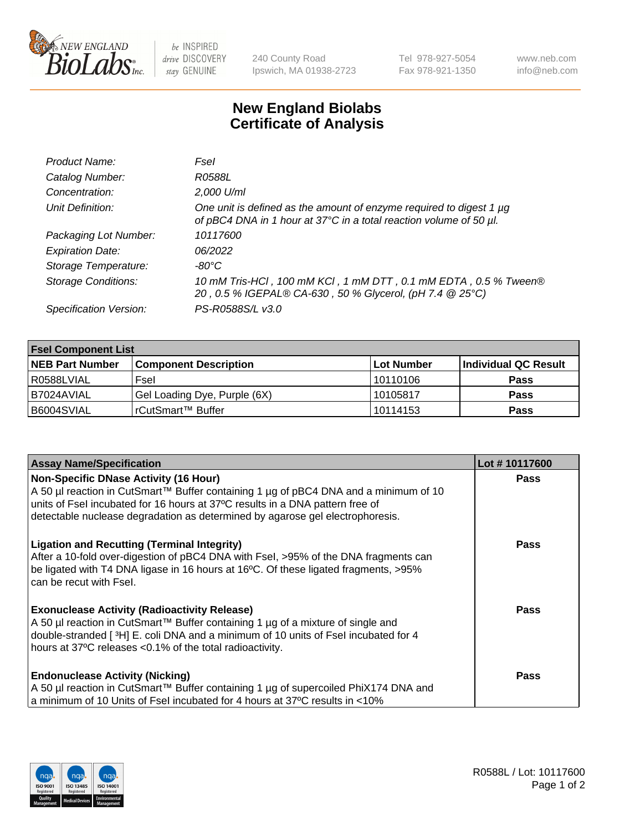

 $be$  INSPIRED drive DISCOVERY stay GENUINE

240 County Road Ipswich, MA 01938-2723 Tel 978-927-5054 Fax 978-921-1350 www.neb.com info@neb.com

## **New England Biolabs Certificate of Analysis**

| Product Name:              | Fsel                                                                                                                                      |
|----------------------------|-------------------------------------------------------------------------------------------------------------------------------------------|
| Catalog Number:            | R0588L                                                                                                                                    |
| Concentration:             | 2,000 U/ml                                                                                                                                |
| Unit Definition:           | One unit is defined as the amount of enzyme required to digest 1 µg<br>of pBC4 DNA in 1 hour at 37°C in a total reaction volume of 50 µl. |
| Packaging Lot Number:      | 10117600                                                                                                                                  |
| <b>Expiration Date:</b>    | 06/2022                                                                                                                                   |
| Storage Temperature:       | -80°C                                                                                                                                     |
| <b>Storage Conditions:</b> | 10 mM Tris-HCl, 100 mM KCl, 1 mM DTT, 0.1 mM EDTA, 0.5 % Tween®<br>20, 0.5 % IGEPAL® CA-630, 50 % Glycerol, (pH 7.4 @ 25°C)               |
| Specification Version:     | PS-R0588S/L v3.0                                                                                                                          |

| <b>Fsel Component List</b> |                              |            |                      |  |  |
|----------------------------|------------------------------|------------|----------------------|--|--|
| <b>NEB Part Number</b>     | <b>Component Description</b> | Lot Number | Individual QC Result |  |  |
| R0588LVIAL                 | Fsel                         | 10110106   | <b>Pass</b>          |  |  |
| I B7024AVIAL               | Gel Loading Dye, Purple (6X) | 10105817   | <b>Pass</b>          |  |  |
| B6004SVIAL                 | l rCutSmart™ Buffer          | 10114153   | <b>Pass</b>          |  |  |

| <b>Assay Name/Specification</b>                                                                                                        | Lot #10117600 |
|----------------------------------------------------------------------------------------------------------------------------------------|---------------|
| <b>Non-Specific DNase Activity (16 Hour)</b>                                                                                           | <b>Pass</b>   |
| A 50 µl reaction in CutSmart™ Buffer containing 1 µg of pBC4 DNA and a minimum of 10                                                   |               |
| units of Fsel incubated for 16 hours at 37°C results in a DNA pattern free of                                                          |               |
| detectable nuclease degradation as determined by agarose gel electrophoresis.                                                          |               |
| <b>Ligation and Recutting (Terminal Integrity)</b>                                                                                     | Pass          |
| After a 10-fold over-digestion of pBC4 DNA with Fsel, >95% of the DNA fragments can                                                    |               |
| be ligated with T4 DNA ligase in 16 hours at 16°C. Of these ligated fragments, >95%                                                    |               |
| can be recut with Fsel.                                                                                                                |               |
|                                                                                                                                        | Pass          |
| <b>Exonuclease Activity (Radioactivity Release)</b><br>A 50 µl reaction in CutSmart™ Buffer containing 1 µg of a mixture of single and |               |
| double-stranded [3H] E. coli DNA and a minimum of 10 units of Fsel incubated for 4                                                     |               |
| hours at 37°C releases <0.1% of the total radioactivity.                                                                               |               |
|                                                                                                                                        |               |
| <b>Endonuclease Activity (Nicking)</b>                                                                                                 | Pass          |
| A 50 µl reaction in CutSmart™ Buffer containing 1 µg of supercoiled PhiX174 DNA and                                                    |               |
| a minimum of 10 Units of Fsel incubated for 4 hours at 37°C results in <10%                                                            |               |